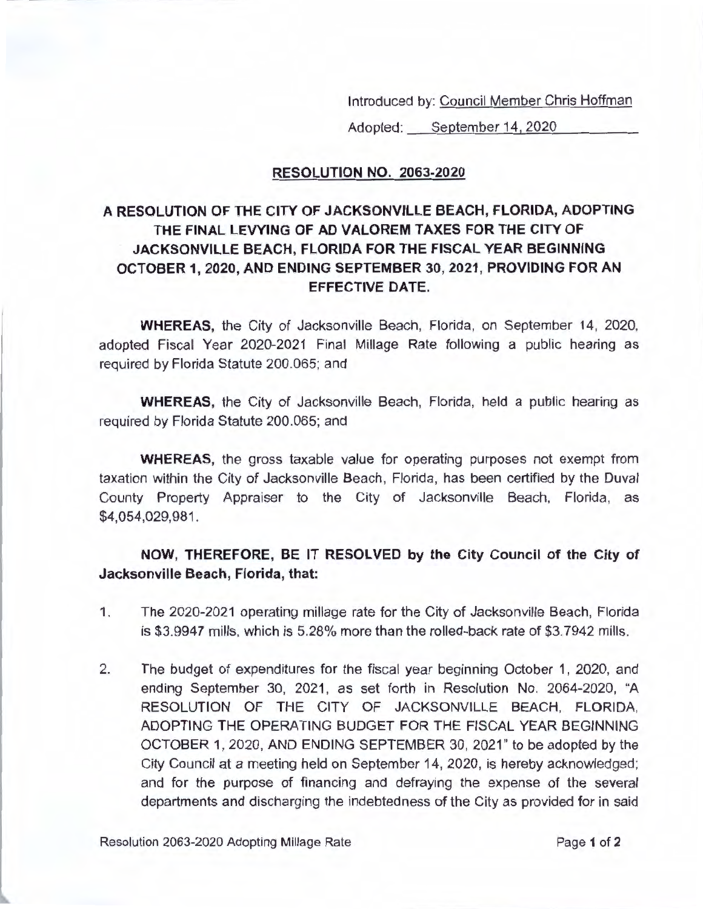Introduced by: <u>Council Member Chris Hoffman</u><br>Adopted: \_\_\_\_<u>September 14, 2020</u>

## **RESOLUTION NO. 2063-2020**

## **A RESOLUTION OF THE CITY OF JACKSONVILLE BEACH, FLORIDA, ADOPTING THE FINAL LEVYING OF AD VALOREM TAXES FOR THE CITY OF JACKSONVILLE BEACH, FLORIDA FOR THE FISCAL YEAR BEGINNING OCTOBER 1, 2020, AND ENDING SEPTEMBER 30, 2021, PROVIDING FOR AN EFFECTIVE DATE.**

**WHEREAS,** the City of Jacksonville Beach, Florida, on September 14, 2020, adopted Fiscal Year 2020-2021 Final Millage Rate following a public hearing as required by Florida Statute 200.065; and

**WHEREAS,** the City of Jacksonville Beach, Florida, held a public hearing as required by Florida Statute 200.065; and

**WHEREAS,** the gross taxable value for operating purposes not exempt from taxation within the City of Jacksonville Beach, Florida, has been certified by the Duval County Property Appraiser to the City of Jacksonville Beach, Florida, as \$4,054,029,981.

## **NOW, THEREFORE, BE IT RESOLVED by the City Council of the City of Jacksonville Beach, Florida, that:**

- 1. The 2020-2021 operating millage rate for the City of Jacksonville Beach, Florida is \$3.9947 mills, which is 5.28% more than the rolled-back rate of \$3.7942 mills.
- 2. The budget of expenditures for the fiscal year beginning October 1, 2020, and ending September 30, 2021, as set forth in Resolution No. 2064-2020, "A RESOLUTION OF THE CITY OF JACKSONVILLE BEACH, FLORIDA, ADOPTING THE OPERATING BUDGET FOR THE FISCAL YEAR BEGINNING OCTOBER 1, 2020, AND ENDING SEPTEMBER 30, 2021" to be adopted by the City Council at a meeting held on September 14, 2020, is hereby acknowledged; and for the purpose of financing and defraying the expense of the several departments and discharging the indebtedness of the City as provided for in said